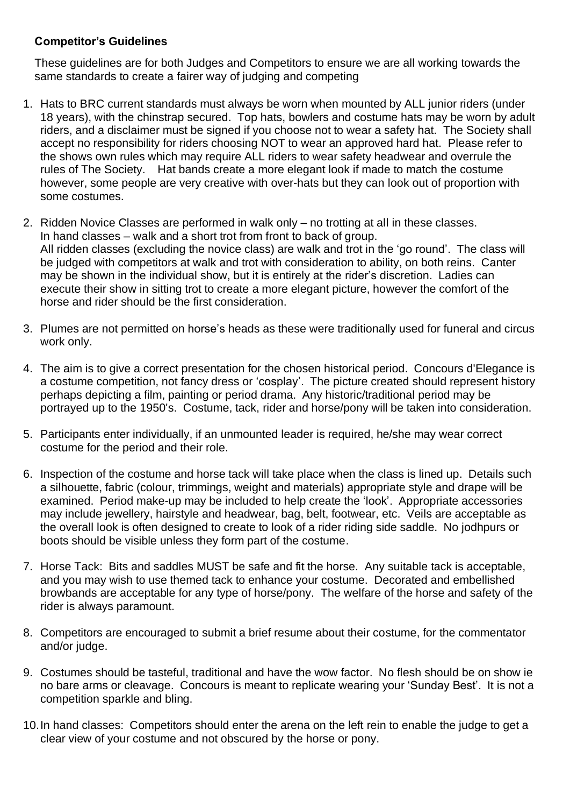## **Competitor's Guidelines**

These guidelines are for both Judges and Competitors to ensure we are all working towards the same standards to create a fairer way of judging and competing

- 1. Hats to BRC current standards must always be worn when mounted by ALL junior riders (under 18 years), with the chinstrap secured. Top hats, bowlers and costume hats may be worn by adult riders, and a disclaimer must be signed if you choose not to wear a safety hat. The Society shall accept no responsibility for riders choosing NOT to wear an approved hard hat. Please refer to the shows own rules which may require ALL riders to wear safety headwear and overrule the rules of The Society. Hat bands create a more elegant look if made to match the costume however, some people are very creative with over-hats but they can look out of proportion with some costumes.
- 2. Ridden Novice Classes are performed in walk only no trotting at all in these classes. In hand classes – walk and a short trot from front to back of group. All ridden classes (excluding the novice class) are walk and trot in the 'go round'. The class will be judged with competitors at walk and trot with consideration to ability, on both reins. Canter may be shown in the individual show, but it is entirely at the rider's discretion. Ladies can execute their show in sitting trot to create a more elegant picture, however the comfort of the horse and rider should be the first consideration.
- 3. Plumes are not permitted on horse's heads as these were traditionally used for funeral and circus work only.
- 4. The aim is to give a correct presentation for the chosen historical period. Concours d'Elegance is a costume competition, not fancy dress or 'cosplay'. The picture created should represent history perhaps depicting a film, painting or period drama. Any historic/traditional period may be portrayed up to the 1950's. Costume, tack, rider and horse/pony will be taken into consideration.
- 5. Participants enter individually, if an unmounted leader is required, he/she may wear correct costume for the period and their role.
- 6. Inspection of the costume and horse tack will take place when the class is lined up. Details such a silhouette, fabric (colour, trimmings, weight and materials) appropriate style and drape will be examined. Period make-up may be included to help create the 'look'. Appropriate accessories may include jewellery, hairstyle and headwear, bag, belt, footwear, etc. Veils are acceptable as the overall look is often designed to create to look of a rider riding side saddle. No jodhpurs or boots should be visible unless they form part of the costume.
- 7. Horse Tack: Bits and saddles MUST be safe and fit the horse. Any suitable tack is acceptable, and you may wish to use themed tack to enhance your costume. Decorated and embellished browbands are acceptable for any type of horse/pony. The welfare of the horse and safety of the rider is always paramount.
- 8. Competitors are encouraged to submit a brief resume about their costume, for the commentator and/or judge.
- 9. Costumes should be tasteful, traditional and have the wow factor. No flesh should be on show ie no bare arms or cleavage. Concours is meant to replicate wearing your 'Sunday Best'. It is not a competition sparkle and bling.
- 10.In hand classes: Competitors should enter the arena on the left rein to enable the judge to get a clear view of your costume and not obscured by the horse or pony.